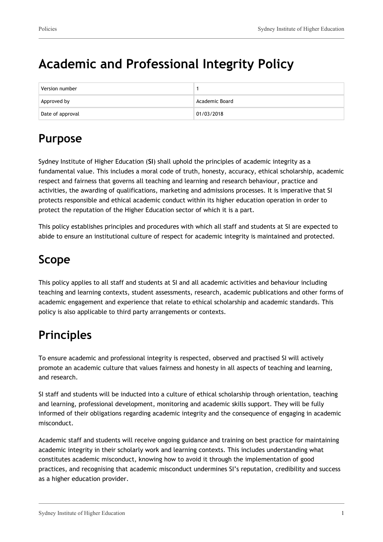# **Academic and Professional Integrity Policy**

| Version number   |                |
|------------------|----------------|
| Approved by      | Academic Board |
| Date of approval | 01/03/2018     |

# **Purpose**

Sydney Institute of Higher Education (**SI**) shall uphold the principles of academic integrity as a fundamental value. This includes a moral code of truth, honesty, accuracy, ethical scholarship, academic respect and fairness that governs all teaching and learning and research behaviour, practice and activities, the awarding of qualifications, marketing and admissions processes. It is imperative that SI protects responsible and ethical academic conduct within its higher education operation in order to protect the reputation of the Higher Education sector of which it is a part.

This policy establishes principles and procedures with which all staff and students at SI are expected to abide to ensure an institutional culture of respect for academic integrity is maintained and protected.

# **Scope**

This policy applies to all staff and students at SI and all academic activities and behaviour including teaching and learning contexts, student assessments, research, academic publications and other forms of academic engagement and experience that relate to ethical scholarship and academic standards. This policy is also applicable to third party arrangements or contexts.

# **Principles**

To ensure academic and professional integrity is respected, observed and practised SI will actively promote an academic culture that values fairness and honesty in all aspects of teaching and learning, and research.

SI staff and students will be inducted into a culture of ethical scholarship through orientation, teaching and learning, professional development, monitoring and academic skills support. They will be fully informed of their obligations regarding academic integrity and the consequence of engaging in academic misconduct.

Academic staff and students will receive ongoing guidance and training on best practice for maintaining academic integrity in their scholarly work and learning contexts. This includes understanding what constitutes academic misconduct, knowing how to avoid it through the implementation of good practices, and recognising that academic misconduct undermines SI's reputation, credibility and success as a higher education provider.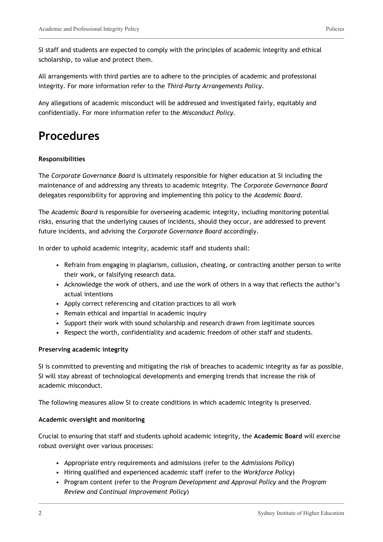SI staff and students are expected to comply with the principles of academic integrity and ethical scholarship, to value and protect them.

All arrangements with third parties are to adhere to the principles of academic and professional integrity. For more information refer to the *Third-Party Arrangements Policy*.

Any allegations of academic misconduct will be addressed and investigated fairly, equitably and confidentially. For more information refer to the *Misconduct Policy.*

## **Procedures**

### **Responsibilities**

The *Corporate Governance Board* is ultimately responsible for higher education at SI including the maintenance of and addressing any threats to academic integrity. The *Corporate Governance Board* delegates responsibility for approving and implementing this policy to the *Academic Board*.

The *Academic Board* is responsible for overseeing academic integrity, including monitoring potential risks, ensuring that the underlying causes of incidents, should they occur, are addressed to prevent future incidents, and advising the *Corporate Governance Board* accordingly.

In order to uphold academic integrity, academic staff and students shall:

- Refrain from engaging in plagiarism, collusion, cheating, or contracting another person to write their work, or falsifying research data.
- Acknowledge the work of others, and use the work of others in a way that reflects the author's actual intentions
- Apply correct referencing and citation practices to all work
- Remain ethical and impartial in academic inquiry
- Support their work with sound scholarship and research drawn from legitimate sources
- Respect the worth, confidentiality and academic freedom of other staff and students.

#### **Preserving academic integrity**

SI is committed to preventing and mitigating the risk of breaches to academic integrity as far as possible. SI will stay abreast of technological developments and emerging trends that increase the risk of academic misconduct.

The following measures allow SI to create conditions in which academic integrity is preserved.

#### **Academic oversight and monitoring**

Crucial to ensuring that staff and students uphold academic integrity, the **Academic Board** will exercise robust oversight over various processes:

- Appropriate entry requirements and admissions (refer to the *Admissions Policy*)
- Hiring qualified and experienced academic staff (refer to the *Workforce Policy*)
- Program content (refer to the *Program Development and Approval Policy* and the *Program Review and Continual Improvement Policy*)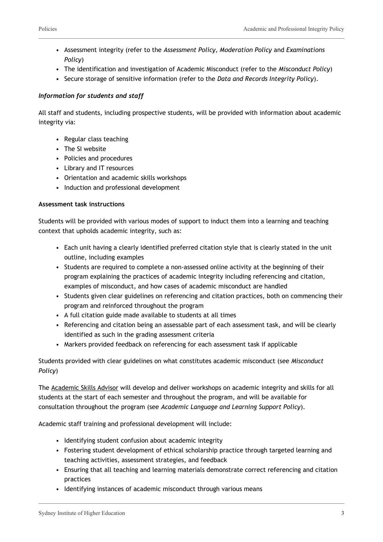- Assessment integrity (refer to the *Assessment Policy, Moderation Policy* and *Examinations Policy*)
- The identification and investigation of Academic Misconduct (refer to the *Misconduct Policy*)
- Secure storage of sensitive information (refer to the *Data and Records Integrity Policy*).

### *Information for students and staff*

All staff and students, including prospective students, will be provided with information about academic integrity via:

- Regular class teaching
- The SI website
- Policies and procedures
- Library and IT resources
- Orientation and academic skills workshops
- Induction and professional development

### **Assessment task instructions**

Students will be provided with various modes of support to induct them into a learning and teaching context that upholds academic integrity, such as:

- Each unit having a clearly identified preferred citation style that is clearly stated in the unit outline, including examples
- Students are required to complete a non-assessed online activity at the beginning of their program explaining the practices of academic integrity including referencing and citation, examples of misconduct, and how cases of academic misconduct are handled
- Students given clear guidelines on referencing and citation practices, both on commencing their program and reinforced throughout the program
- A full citation guide made available to students at all times
- Referencing and citation being an assessable part of each assessment task, and will be clearly identified as such in the grading assessment criteria
- Markers provided feedback on referencing for each assessment task if applicable

Students provided with clear guidelines on what constitutes academic misconduct (see *Misconduct Policy*)

The Academic Skills Advisor will develop and deliver workshops on academic integrity and skills for all students at the start of each semester and throughout the program, and will be available for consultation throughout the program (see *Academic Language and Learning Support Policy*).

Academic staff training and professional development will include:

- Identifying student confusion about academic integrity
- Fostering student development of ethical scholarship practice through targeted learning and teaching activities, assessment strategies, and feedback
- Ensuring that all teaching and learning materials demonstrate correct referencing and citation practices
- Identifying instances of academic misconduct through various means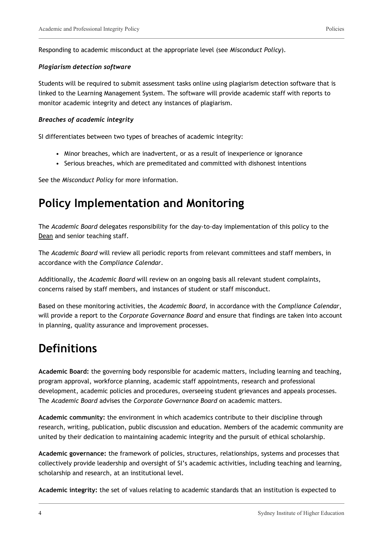Responding to academic misconduct at the appropriate level (see *Misconduct Policy*).

### *Plagiarism detection software*

Students will be required to submit assessment tasks online using plagiarism detection software that is linked to the Learning Management System. The software will provide academic staff with reports to monitor academic integrity and detect any instances of plagiarism.

### *Breaches of academic integrity*

SI differentiates between two types of breaches of academic integrity:

- Minor breaches, which are inadvertent, or as a result of inexperience or ignorance
- Serious breaches, which are premeditated and committed with dishonest intentions

See the *Misconduct Policy* for more information.

## **Policy Implementation and Monitoring**

The *Academic Board* delegates responsibility for the day-to-day implementation of this policy to the Dean and senior teaching staff.

The *Academic Board* will review all periodic reports from relevant committees and staff members, in accordance with the *Compliance Calendar*.

Additionally, the *Academic Board* will review on an ongoing basis all relevant student complaints, concerns raised by staff members, and instances of student or staff misconduct.

Based on these monitoring activities, the *Academic Board*, in accordance with the *Compliance Calendar*, will provide a report to the *Corporate Governance Board* and ensure that findings are taken into account in planning, quality assurance and improvement processes.

# **Definitions**

**Academic Board:** the governing body responsible for academic matters, including learning and teaching, program approval, workforce planning, academic staff appointments, research and professional development, academic policies and procedures, overseeing student grievances and appeals processes. The *Academic Board* advises the *Corporate Governance Board* on academic matters.

**Academic community:** the environment in which academics contribute to their discipline through research, writing, publication, public discussion and education. Members of the academic community are united by their dedication to maintaining academic integrity and the pursuit of ethical scholarship.

**Academic governance:** the framework of policies, structures, relationships, systems and processes that collectively provide leadership and oversight of SI's academic activities, including teaching and learning, scholarship and research, at an institutional level.

**Academic integrity:** the set of values relating to academic standards that an institution is expected to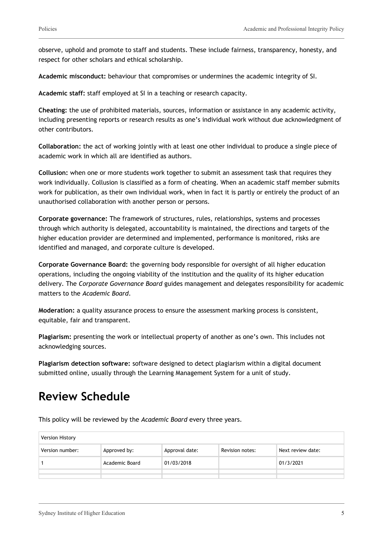observe, uphold and promote to staff and students. These include fairness, transparency, honesty, and respect for other scholars and ethical scholarship.

**Academic misconduct:** behaviour that compromises or undermines the academic integrity of SI.

**Academic staff:** staff employed at SI in a teaching or research capacity.

**Cheating:** the use of prohibited materials, sources, information or assistance in any academic activity, including presenting reports or research results as one's individual work without due acknowledgment of other contributors.

**Collaboration:** the act of working jointly with at least one other individual to produce a single piece of academic work in which all are identified as authors.

**Collusion:** when one or more students work together to submit an assessment task that requires they work individually. Collusion is classified as a form of cheating. When an academic staff member submits work for publication, as their own individual work, when in fact it is partly or entirely the product of an unauthorised collaboration with another person or persons.

**Corporate governance:** The framework of structures, rules, relationships, systems and processes through which authority is delegated, accountability is maintained, the directions and targets of the higher education provider are determined and implemented, performance is monitored, risks are identified and managed, and corporate culture is developed.

**Corporate Governance Board:** the governing body responsible for oversight of all higher education operations, including the ongoing viability of the institution and the quality of its higher education delivery. The *Corporate Governance Board* guides management and delegates responsibility for academic matters to the *Academic Board*.

**Moderation:** a quality assurance process to ensure the assessment marking process is consistent, equitable, fair and transparent.

**Plagiarism:** presenting the work or intellectual property of another as one's own. This includes not acknowledging sources.

**Plagiarism detection software:** software designed to detect plagiarism within a digital document submitted online, usually through the Learning Management System for a unit of study.

## **Review Schedule**

This policy will be reviewed by the *Academic Board* every three years.

| Version History |                |                |                 |                   |
|-----------------|----------------|----------------|-----------------|-------------------|
| Version number: | Approved by:   | Approval date: | Revision notes: | Next review date: |
|                 | Academic Board | 01/03/2018     |                 | 01/3/2021         |
|                 |                |                |                 |                   |